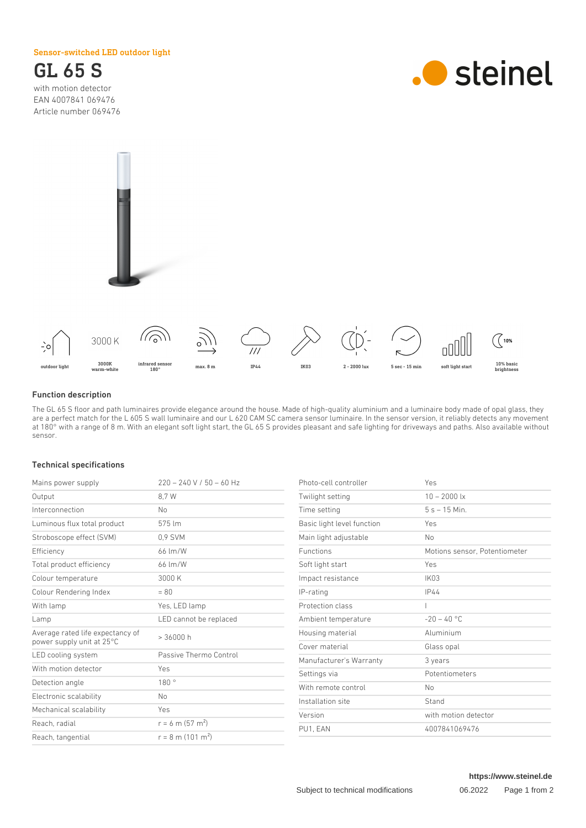Sensor-switched LED outdoor light



with motion detector EAN 4007841 069476 Article number 069476







## Function description

The GL 65 S floor and path luminaires provide elegance around the house. Made of high-quality aluminium and a luminaire body made of opal glass, they are a perfect match for the L 605 S wall luminaire and our L 620 CAM SC camera sensor luminaire. In the sensor version, it reliably detects any movement at 180° with a range of 8 m. With an elegant soft light start, the GL 65 S provides pleasant and safe lighting for driveways and paths. Also available without sensor.

### Technical specifications

| Mains power supply                                            | $220 - 240 V / 50 - 60 Hz$      |
|---------------------------------------------------------------|---------------------------------|
| Output                                                        | 8.7 W                           |
| Interconnection                                               | No                              |
| Luminous flux total product                                   | 575 lm                          |
| Stroboscope effect (SVM)                                      | 0.9 SVM                         |
| Efficiency                                                    | $66 \, \mathrm{Im/W}$           |
| Total product efficiency                                      | 66 Im/W                         |
| Colour temperature                                            | 3000 K                          |
| Colour Rendering Index                                        | $= 80$                          |
| With lamp                                                     | Yes, LED lamp                   |
| Lamp                                                          | LED cannot be replaced          |
| Average rated life expectancy of<br>power supply unit at 25°C | > 36000 h                       |
| LED cooling system                                            | Passive Thermo Control          |
| With motion detector                                          | Yes                             |
| Detection angle                                               | 180°                            |
| Electronic scalability                                        | No                              |
| Mechanical scalability                                        | Yes                             |
| Reach, radial                                                 | $r = 6$ m (57 m <sup>2</sup> )  |
| Reach, tangential                                             | $r = 8$ m (101 m <sup>2</sup> ) |

| Photo-cell controller      | Yes                           |
|----------------------------|-------------------------------|
| Twilight setting           | $10 - 2000$ lx                |
| Time setting               | $5s - 15$ Min.                |
| Basic light level function | Yes                           |
| Main light adjustable      | No                            |
| <b>Functions</b>           | Motions sensor, Potentiometer |
| Soft light start           | Yes                           |
| Impact resistance          | <b>IK03</b>                   |
| IP-rating                  | IP44                          |
| Protection class           |                               |
| Ambient temperature        | $-20 - 40$ °C                 |
| Housing material           | Aluminium                     |
| Cover material             | Glass opal                    |
| Manufacturer's Warranty    | 3 years                       |
| Settings via               | Potentiometers                |
| With remote control        | No                            |
| Installation site          | Stand                         |
| Version                    | with motion detector          |
| PU1. EAN                   | 4007841069476                 |